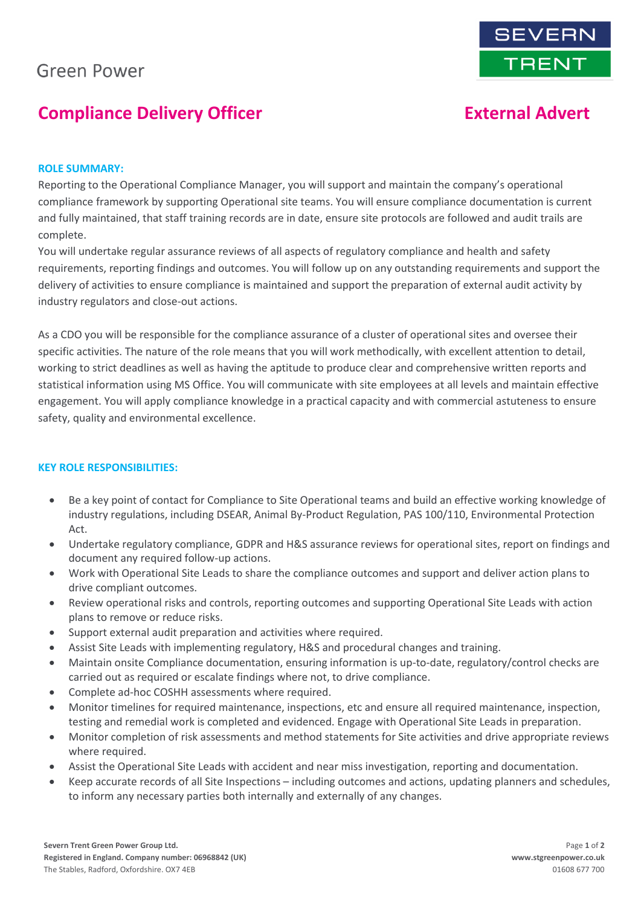# **Green Power**

# **Compliance Delivery Officer The Compliance Delivery Officer Advert External Advert**

### **ROLE SUMMARY:**

Reporting to the Operational Compliance Manager, you will support and maintain the company's operational compliance framework by supporting Operational site teams. You will ensure compliance documentation is current and fully maintained, that staff training records are in date, ensure site protocols are followed and audit trails are complete.

You will undertake regular assurance reviews of all aspects of regulatory compliance and health and safety requirements, reporting findings and outcomes. You will follow up on any outstanding requirements and support the delivery of activities to ensure compliance is maintained and support the preparation of external audit activity by industry regulators and close-out actions.

As a CDO you will be responsible for the compliance assurance of a cluster of operational sites and oversee their specific activities. The nature of the role means that you will work methodically, with excellent attention to detail, working to strict deadlines as well as having the aptitude to produce clear and comprehensive written reports and statistical information using MS Office. You will communicate with site employees at all levels and maintain effective engagement. You will apply compliance knowledge in a practical capacity and with commercial astuteness to ensure safety, quality and environmental excellence.

## **KEY ROLE RESPONSIBILITIES:**

- Be a key point of contact for Compliance to Site Operational teams and build an effective working knowledge of industry regulations, including DSEAR, Animal By-Product Regulation, PAS 100/110, Environmental Protection Act.
- Undertake regulatory compliance, GDPR and H&S assurance reviews for operational sites, report on findings and document any required follow-up actions.
- Work with Operational Site Leads to share the compliance outcomes and support and deliver action plans to drive compliant outcomes.
- Review operational risks and controls, reporting outcomes and supporting Operational Site Leads with action plans to remove or reduce risks.
- Support external audit preparation and activities where required.
- Assist Site Leads with implementing regulatory, H&S and procedural changes and training.
- Maintain onsite Compliance documentation, ensuring information is up-to-date, regulatory/control checks are carried out as required or escalate findings where not, to drive compliance.
- Complete ad-hoc COSHH assessments where required.
- Monitor timelines for required maintenance, inspections, etc and ensure all required maintenance, inspection, testing and remedial work is completed and evidenced. Engage with Operational Site Leads in preparation.
- Monitor completion of risk assessments and method statements for Site activities and drive appropriate reviews where required.
- Assist the Operational Site Leads with accident and near miss investigation, reporting and documentation.
- Keep accurate records of all Site Inspections including outcomes and actions, updating planners and schedules, to inform any necessary parties both internally and externally of any changes.